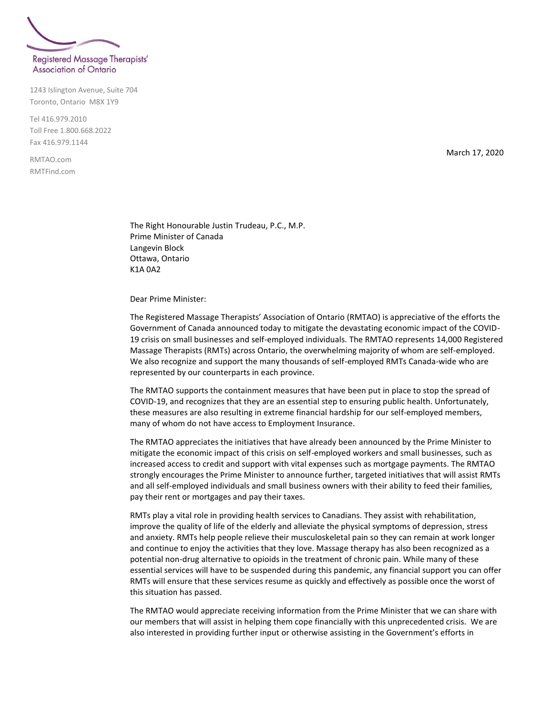

1243 Islington Avenue, Suite 704 Toronto, Ontario M8X 1Y9

Tel 416.979.2010 Toll Free 1.800.668.2022 Fax 416.979.1144

RMTAO.com RMTFind.com March 17, 2020

The Right Honourable Justin Trudeau, P.C., M.P. Prime Minister of Canada Langevin Block Ottawa, Ontario K1A 0A2

Dear Prime Minister:

The Registered Massage Therapists' Association of Ontario (RMTAO) is appreciative of the efforts the Government of Canada announced today to mitigate the devastating economic impact of the COVID-19 crisis on small businesses and self-employed individuals. The RMTAO represents 14,000 Registered Massage Therapists (RMTs) across Ontario, the overwhelming majority of whom are self-employed. We also recognize and support the many thousands of self-employed RMTs Canada-wide who are represented by our counterparts in each province.

The RMTAO supports the containment measures that have been put in place to stop the spread of COVID-19, and recognizes that they are an essential step to ensuring public health. Unfortunately, these measures are also resulting in extreme financial hardship for our self-employed members, many of whom do not have access to Employment Insurance.

The RMTAO appreciates the initiatives that have already been announced by the Prime Minister to mitigate the economic impact of this crisis on self-employed workers and small businesses, such as increased access to credit and support with vital expenses such as mortgage payments. The RMTAO strongly encourages the Prime Minister to announce further, targeted initiatives that will assist RMTs and all self-employed individuals and small business owners with their ability to feed their families, pay their rent or mortgages and pay their taxes.

RMTs play a vital role in providing health services to Canadians. They assist with rehabilitation, improve the quality of life of the elderly and alleviate the physical symptoms of depression, stress and anxiety. RMTs help people relieve their musculoskeletal pain so they can remain at work longer and continue to enjoy the activities that they love. Massage therapy has also been recognized as a potential non-drug alternative to opioids in the treatment of chronic pain. While many of these essential services will have to be suspended during this pandemic, any financial support you can offer RMTs will ensure that these services resume as quickly and effectively as possible once the worst of this situation has passed.

The RMTAO would appreciate receiving information from the Prime Minister that we can share with our members that will assist in helping them cope financially with this unprecedented crisis. We are also interested in providing further input or otherwise assisting in the Government's efforts in